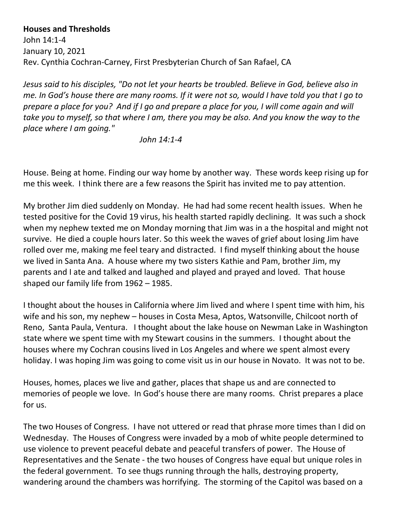## **Houses and Thresholds**

John 14:1-4 January 10, 2021 Rev. Cynthia Cochran-Carney, First Presbyterian Church of San Rafael, CA

*Jesus said to his disciples, "Do not let your hearts be troubled. Believe in God, believe also in me. In God's house there are many rooms. If it were not so, would I have told you that I go to prepare a place for you? And if I go and prepare a place for you, I will come again and will take you to myself, so that where I am, there you may be also. And you know the way to the place where I am going."*

*John 14:1-4*

House. Being at home. Finding our way home by another way. These words keep rising up for me this week. I think there are a few reasons the Spirit has invited me to pay attention.

My brother Jim died suddenly on Monday. He had had some recent health issues. When he tested positive for the Covid 19 virus, his health started rapidly declining. It was such a shock when my nephew texted me on Monday morning that Jim was in a the hospital and might not survive. He died a couple hours later. So this week the waves of grief about losing Jim have rolled over me, making me feel teary and distracted. I find myself thinking about the house we lived in Santa Ana. A house where my two sisters Kathie and Pam, brother Jim, my parents and I ate and talked and laughed and played and prayed and loved. That house shaped our family life from 1962 – 1985.

I thought about the houses in California where Jim lived and where I spent time with him, his wife and his son, my nephew – houses in Costa Mesa, Aptos, Watsonville, Chilcoot north of Reno, Santa Paula, Ventura. I thought about the lake house on Newman Lake in Washington state where we spent time with my Stewart cousins in the summers. I thought about the houses where my Cochran cousins lived in Los Angeles and where we spent almost every holiday. I was hoping Jim was going to come visit us in our house in Novato. It was not to be.

Houses, homes, places we live and gather, places that shape us and are connected to memories of people we love. In God's house there are many rooms. Christ prepares a place for us.

The two Houses of Congress. I have not uttered or read that phrase more times than I did on Wednesday. The Houses of Congress were invaded by a mob of white people determined to use violence to prevent peaceful debate and peaceful transfers of power. The House of Representatives and the Senate - the two houses of Congress have equal but unique roles in the federal government. To see thugs running through the halls, destroying property, wandering around the chambers was horrifying. The storming of the Capitol was based on a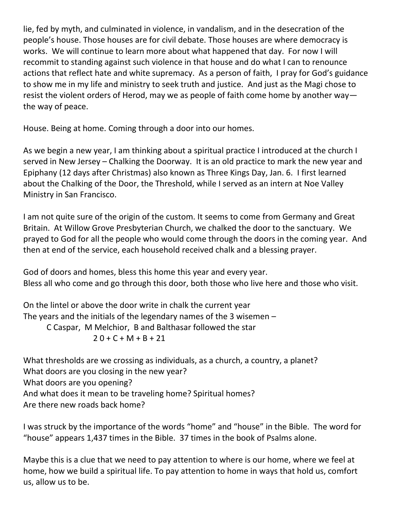lie, fed by myth, and culminated in violence, in vandalism, and in the desecration of the people's house. Those houses are for civil debate. Those houses are where democracy is works. We will continue to learn more about what happened that day. For now I will recommit to standing against such violence in that house and do what I can to renounce actions that reflect hate and white supremacy. As a person of faith, I pray for God's guidance to show me in my life and ministry to seek truth and justice. And just as the Magi chose to resist the violent orders of Herod, may we as people of faith come home by another way the way of peace.

House. Being at home. Coming through a door into our homes.

As we begin a new year, I am thinking about a spiritual practice I introduced at the church I served in New Jersey – Chalking the Doorway. It is an old practice to mark the new year and Epiphany (12 days after Christmas) also known as Three Kings Day, Jan. 6. I first learned about the Chalking of the Door, the Threshold, while I served as an intern at Noe Valley Ministry in San Francisco.

I am not quite sure of the origin of the custom. It seems to come from Germany and Great Britain. At Willow Grove Presbyterian Church, we chalked the door to the sanctuary. We prayed to God for all the people who would come through the doors in the coming year. And then at end of the service, each household received chalk and a blessing prayer.

God of doors and homes, bless this home this year and every year. Bless all who come and go through this door, both those who live here and those who visit.

On the lintel or above the door write in chalk the current year The years and the initials of the legendary names of the 3 wisemen – C Caspar, M Melchior, B and Balthasar followed the star  $20 + C + M + B + 21$ 

What thresholds are we crossing as individuals, as a church, a country, a planet? What doors are you closing in the new year? What doors are you opening? And what does it mean to be traveling home? Spiritual homes? Are there new roads back home?

I was struck by the importance of the words "home" and "house" in the Bible. The word for "house" appears 1,437 times in the Bible. 37 times in the book of Psalms alone.

Maybe this is a clue that we need to pay attention to where is our home, where we feel at home, how we build a spiritual life. To pay attention to home in ways that hold us, comfort us, allow us to be.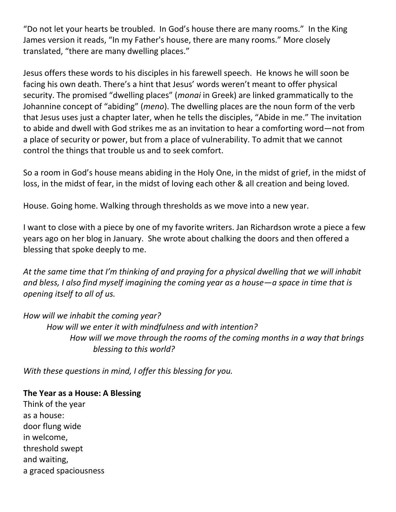"Do not let your hearts be troubled. In God's house there are many rooms." In the King James version it reads, "[In](https://www.biblestudytools.com/interlinear-bible/strongs/?t=kjv&ll=g&sn=1722) [my](https://www.biblestudytools.com/interlinear-bible/strongs/?t=kjv&ll=g&sn=3450) [Father's](https://www.biblestudytools.com/interlinear-bible/strongs/?t=kjv&ll=g&sn=3962) [house,](https://www.biblestudytools.com/interlinear-bible/strongs/?t=kjv&ll=g&sn=3614) there [are](https://www.biblestudytools.com/interlinear-bible/strongs/?t=kjv&ll=g&sn=1526) [many](https://www.biblestudytools.com/interlinear-bible/strongs/?t=kjv&ll=g&sn=4183) [rooms.](https://www.biblestudytools.com/interlinear-bible/strongs/?t=kjv&ll=g&sn=3438)" More closely translated, "there are many dwelling places."

Jesus offers these words to his disciples in his farewell speech. He knows he will soon be facing his own death. There's a hint that Jesus' words weren't meant to offer physical security. The promised "dwelling places" (*monai* in Greek) are linked grammatically to the Johannine concept of "abiding" (*meno*). The dwelling places are the noun form of the verb that Jesus uses just a chapter later, when he tells the disciples, "Abide in me." The invitation to abide and dwell with God strikes me as an invitation to hear a comforting word—not from a place of security or power, but from a place of vulnerability. To admit that we cannot control the things that trouble us and to seek comfort.

So a room in God's house means abiding in the Holy One, in the midst of grief, in the midst of loss, in the midst of fear, in the midst of loving each other & all creation and being loved.

House. Going home. Walking through thresholds as we move into a new year.

I want to close with a piece by one of my favorite writers. Jan Richardson wrote a piece a few years ago on her blog in January. She wrote about chalking the doors and then offered a blessing that spoke deeply to me.

*At the same time that I'm thinking of and praying for a physical dwelling that we will inhabit and bless, I also find myself imagining the coming year as a house—a space in time that is opening itself to all of us.* 

*How will we inhabit the coming year? How will we enter it with mindfulness and with intention? How will we move through the rooms of the coming months in a way that brings blessing to this world?*

*With these questions in mind, I offer this blessing for you.*

**The Year as a House: A Blessing** Think of the year as a house: door flung wide in welcome, threshold swept and waiting, a graced spaciousness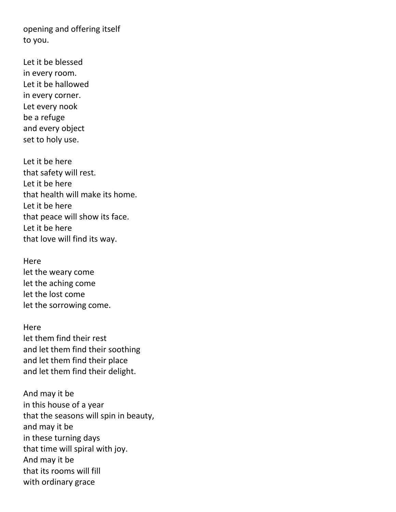opening and offering itself to you.

Let it be blessed in every room. Let it be hallowed in every corner. Let every nook be a refuge and every object set to holy use.

Let it be here that safety will rest. Let it be here that health will make its home. Let it be here that peace will show its face. Let it be here that love will find its way.

Here let the weary come let the aching come let the lost come let the sorrowing come.

Here let them find their rest and let them find their soothing and let them find their place and let them find their delight.

And may it be in this house of a year that the seasons will spin in beauty, and may it be in these turning days that time will spiral with joy. And may it be that its rooms will fill with ordinary grace